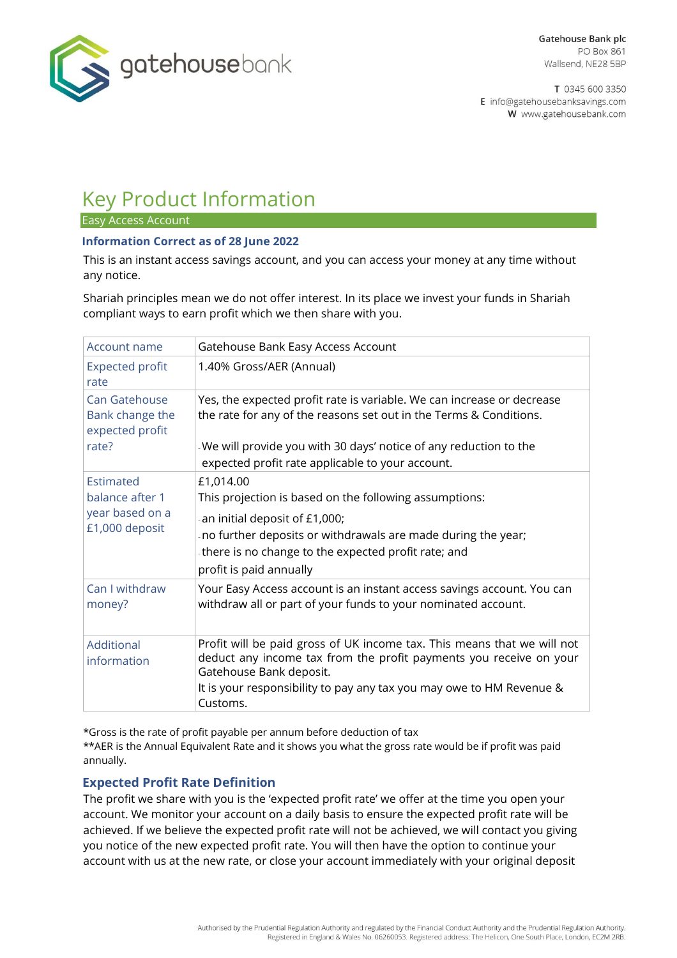

T 0345 600 3350 E info@gatehousebanksavings.com W www.gatehousebank.com

# Key Product Information

Easy Access Account

## **Information Correct as of 28 June 2022**

This is an instant access savings account, and you can access your money at any time without any notice.

Shariah principles mean we do not offer interest. In its place we invest your funds in Shariah compliant ways to earn profit which we then share with you.

| Account name                                                      | Gatehouse Bank Easy Access Account                                                                                                                                                                                                                                   |
|-------------------------------------------------------------------|----------------------------------------------------------------------------------------------------------------------------------------------------------------------------------------------------------------------------------------------------------------------|
| <b>Expected profit</b><br>rate                                    | 1.40% Gross/AER (Annual)                                                                                                                                                                                                                                             |
| Can Gatehouse<br>Bank change the<br>expected profit<br>rate?      | Yes, the expected profit rate is variable. We can increase or decrease<br>the rate for any of the reasons set out in the Terms & Conditions.<br>We will provide you with 30 days' notice of any reduction to the<br>expected profit rate applicable to your account. |
| Estimated<br>balance after 1<br>year based on a<br>£1,000 deposit | £1,014.00<br>This projection is based on the following assumptions:<br>an initial deposit of £1,000;<br>no further deposits or withdrawals are made during the year;<br>there is no change to the expected profit rate; and<br>profit is paid annually               |
| Can I withdraw<br>money?                                          | Your Easy Access account is an instant access savings account. You can<br>withdraw all or part of your funds to your nominated account.                                                                                                                              |
| Additional<br>information                                         | Profit will be paid gross of UK income tax. This means that we will not<br>deduct any income tax from the profit payments you receive on your<br>Gatehouse Bank deposit.<br>It is your responsibility to pay any tax you may owe to HM Revenue &<br>Customs.         |

\*Gross is the rate of profit payable per annum before deduction of tax

\*\*AER is the Annual Equivalent Rate and it shows you what the gross rate would be if profit was paid annually.

## **Expected Profit Rate Definition**

The profit we share with you is the 'expected profit rate' we offer at the time you open your account. We monitor your account on a daily basis to ensure the expected profit rate will be achieved. If we believe the expected profit rate will not be achieved, we will contact you giving you notice of the new expected profit rate. You will then have the option to continue your account with us at the new rate, or close your account immediately with your original deposit